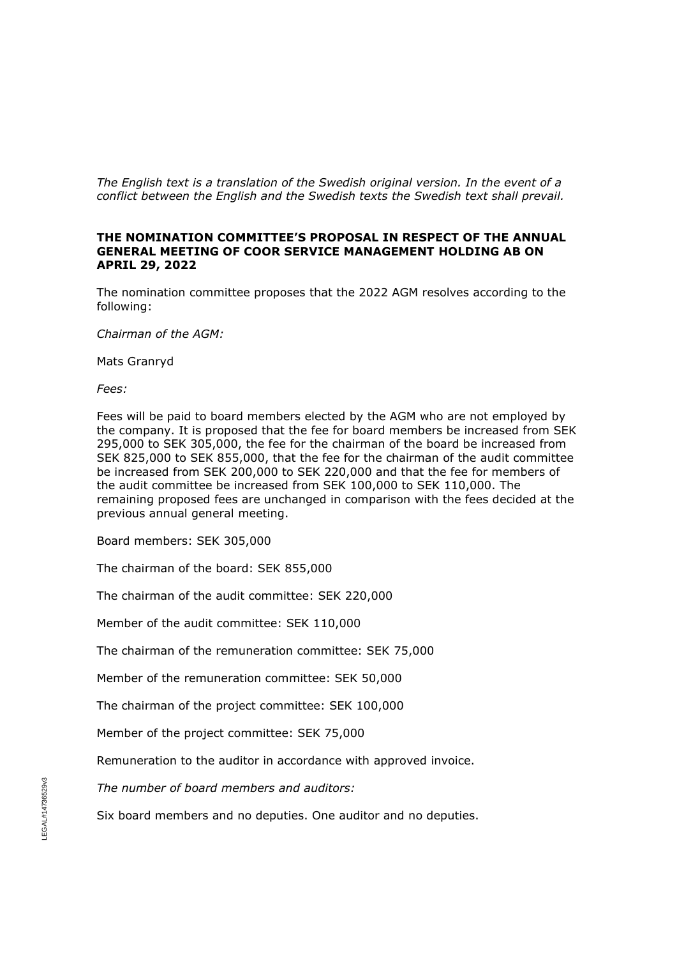*The English text is a translation of the Swedish original version. In the event of a conflict between the English and the Swedish texts the Swedish text shall prevail.*

## **THE NOMINATION COMMITTEE'S PROPOSAL IN RESPECT OF THE ANNUAL GENERAL MEETING OF COOR SERVICE MANAGEMENT HOLDING AB ON APRIL 29, 2022**

The nomination committee proposes that the 2022 AGM resolves according to the following:

*Chairman of the AGM:*

Mats Granryd

*Fees:*

Fees will be paid to board members elected by the AGM who are not employed by the company. It is proposed that the fee for board members be increased from SEK 295,000 to SEK 305,000, the fee for the chairman of the board be increased from SEK 825,000 to SEK 855,000, that the fee for the chairman of the audit committee be increased from SEK 200,000 to SEK 220,000 and that the fee for members of the audit committee be increased from SEK 100,000 to SEK 110,000. The remaining proposed fees are unchanged in comparison with the fees decided at the previous annual general meeting.

Board members: SEK 305,000

The chairman of the board: SEK 855,000

The chairman of the audit committee: SEK 220,000

Member of the audit committee: SEK 110,000

The chairman of the remuneration committee: SEK 75,000

Member of the remuneration committee: SEK 50,000

The chairman of the project committee: SEK 100,000

Member of the project committee: SEK 75,000

Remuneration to the auditor in accordance with approved invoice.

*The number of board members and auditors:*

Six board members and no deputies. One auditor and no deputies.